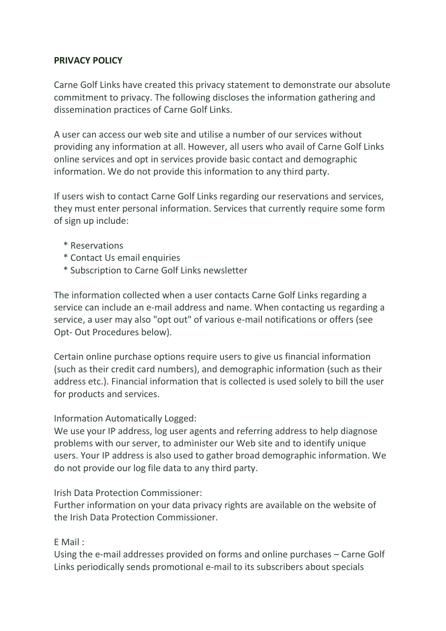# **PRIVACY POLICY**

Carne Golf Links have created this privacy statement to demonstrate our absolute commitment to privacy. The following discloses the information gathering and dissemination practices of Carne Golf Links.

A user can access our web site and utilise a number of our services without providing any information at all. However, all users who avail of Carne Golf Links online services and opt in services provide basic contact and demographic information. We do not provide this information to any third party.

If users wish to contact Carne Golf Links regarding our reservations and services, they must enter personal information. Services that currently require some form of sign up include:

- \* Reservations
- \* Contact Us email enquiries
- \* Subscription to Carne Golf Links newsletter

The information collected when a user contacts Carne Golf Links regarding a service can include an e-mail address and name. When contacting us regarding a service, a user may also "opt out" of various e-mail notifications or offers (see Opt- Out Procedures below).

Certain online purchase options require users to give us financial information (such as their credit card numbers), and demographic information (such as their address etc.). Financial information that is collected is used solely to bill the user for products and services.

#### Information Automatically Logged:

We use your IP address, log user agents and referring address to help diagnose problems with our server, to administer our Web site and to identify unique users. Your IP address is also used to gather broad demographic information. We do not provide our log file data to any third party.

Irish Data Protection Commissioner:

Further information on your data privacy rights are available on the website of the Irish Data Protection Commissioner.

#### E Mail :

Using the e-mail addresses provided on forms and online purchases – Carne Golf Links periodically sends promotional e-mail to its subscribers about specials